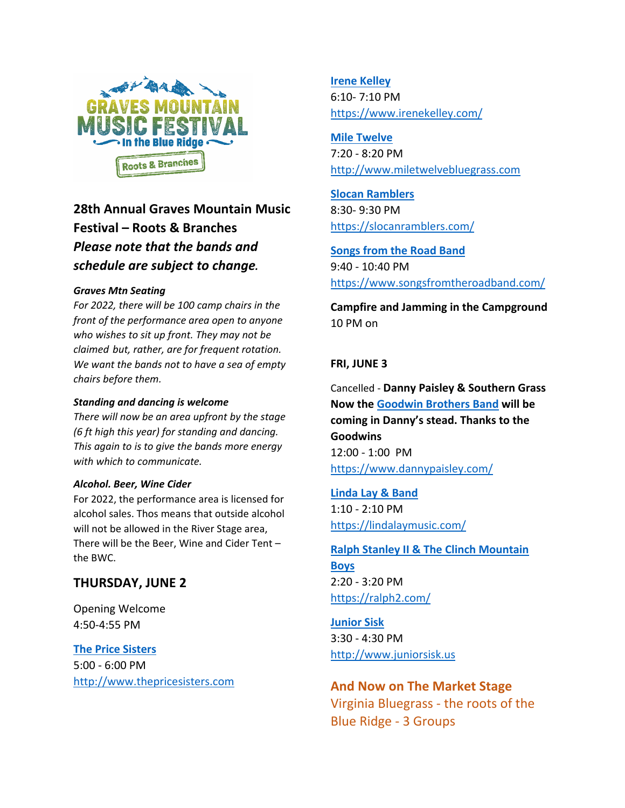

# **28th Annual Graves Mountain Music Festival – Roots & Branches** *Please note that the bands and schedule are subject to change.*

### *Graves Mtn Seating*

*For 2022, there will be 100 camp chairs in the front of the performance area open to anyone who wishes to sit up front. They may not be claimed but, rather, are for frequent rotation. We want the bands not to have a sea of empty chairs before them.*

#### *Standing and dancing is welcome*

*There will now be an area upfront by the stage (6 ft high this year) for standing and dancing. This again to is to give the bands more energy with which to communicate.*

#### *Alcohol. Beer, Wine Cider*

For 2022, the performance area is licensed for alcohol sales. Thos means that outside alcohol will not be allowed in the River Stage area, There will be the Beer, Wine and Cider Tent – the BWC.

# **THURSDAY, JUNE 2**

Opening Welcome 4:50‐4:55 PM

# **The Price Sisters**

5:00 ‐ 6:00 PM http://www.thepricesisters.com **Irene Kelley** 6:10‐ 7:10 PM https://www.irenekelley.com/

**Mile Twelve** 7:20 ‐ 8:20 PM http://www.miletwelvebluegrass.com

**Slocan Ramblers** 8:30‐ 9:30 PM https://slocanramblers.com/

**Songs from the Road Band**  9:40 ‐ 10:40 PM https://www.songsfromtheroadband.com/

**Campfire and Jamming in the Campground** 10 PM on

# **FRI, JUNE 3**

Cancelled ‐ **Danny Paisley & Southern Grass Now the Goodwin Brothers Band will be coming in Danny's stead. Thanks to the Goodwins** 12:00 ‐ 1:00 PM https://www.dannypaisley.com/

**Linda Lay & Band** 

1:10 ‐ 2:10 PM https://lindalaymusic.com/

# **Ralph Stanley II & The Clinch Mountain**

**Boys**  2:20 ‐ 3:20 PM https://ralph2.com/

**Junior Sisk** 3:30 ‐ 4:30 PM http://www.juniorsisk.us

# **And Now on The Market Stage**

Virginia Bluegrass ‐ the roots of the Blue Ridge ‐ 3 Groups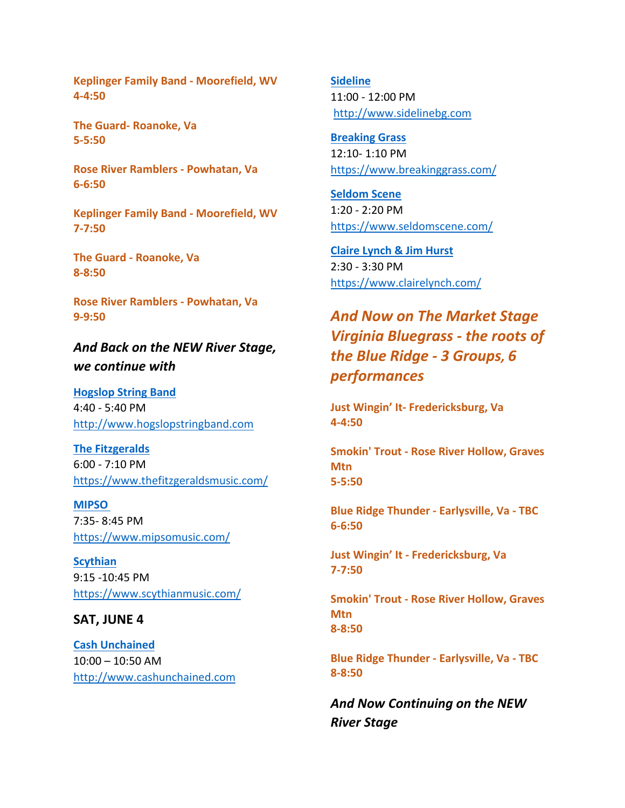**Keplinger Family Band ‐ Moorefield, WV 4‐4:50**

**The Guard‐ Roanoke, Va 5‐5:50**

**Rose River Ramblers ‐ Powhatan, Va 6‐6:50**

**Keplinger Family Band ‐ Moorefield, WV 7‐7:50**

**The Guard ‐ Roanoke, Va 8‐8:50**

**Rose River Ramblers ‐ Powhatan, Va 9‐9:50**

*And Back on the NEW River Stage, we continue with*

**Hogslop String Band** 4:40 ‐ 5:40 PM http://www.hogslopstringband.com

**The Fitzgeralds** 6:00 ‐ 7:10 PM https://www.thefitzgeraldsmusic.com/

**MIPSO**  7:35‐ 8:45 PM https://www.mipsomusic.com/

**Scythian** 9:15 ‐10:45 PM https://www.scythianmusic.com/

#### **SAT, JUNE 4**

**Cash Unchained**  10:00 – 10:50 AM http://www.cashunchained.com **Sideline**  11:00 ‐ 12:00 PM http://www.sidelinebg.com

**Breaking Grass** 12:10‐ 1:10 PM https://www.breakinggrass.com/

**Seldom Scene** 1:20 ‐ 2:20 PM https://www.seldomscene.com/

**Claire Lynch & Jim Hurst**  2:30 ‐ 3:30 PM https://www.clairelynch.com/

*And Now on The Market Stage Virginia Bluegrass ‐ the roots of the Blue Ridge ‐ 3 Groups, 6 performances*

**Just Wingin' It‐ Fredericksburg, Va 4‐4:50**

**Smokin' Trout ‐ Rose River Hollow, Graves Mtn 5‐5:50**

**Blue Ridge Thunder ‐ Earlysville, Va ‐ TBC 6‐6:50**

**Just Wingin' It ‐ Fredericksburg, Va 7‐7:50**

**Smokin' Trout ‐ Rose River Hollow, Graves Mtn 8‐8:50**

**Blue Ridge Thunder ‐ Earlysville, Va ‐ TBC 8‐8:50**

*And Now Continuing on the NEW River Stage*